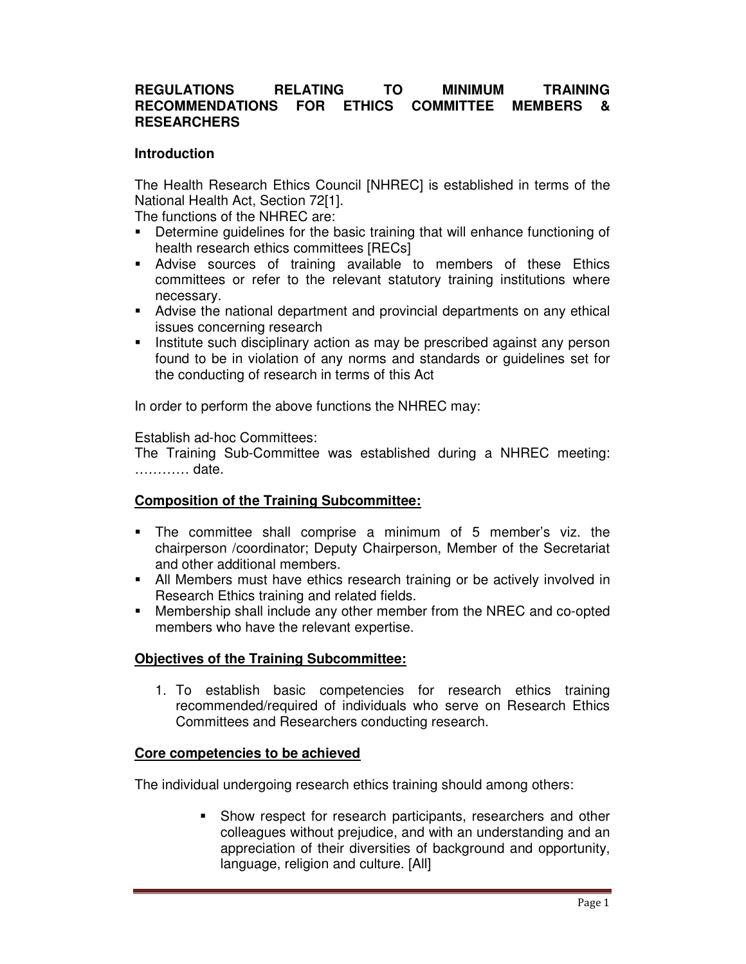### **REGULATIONS RELATING TO MINIMUM TRAINING RECOMMENDATIONS FOR ETHICS COMMITTEE MEMBERS & RESEARCHERS**

### **Introduction**

The Health Research Ethics Council [NHREC] is established in terms of the National Health Act, Section 72[1].

The functions of the NHREC are:

- Determine guidelines for the basic training that will enhance functioning of health research ethics committees [RECs]
- Advise sources of training available to members of these Ethics committees or refer to the relevant statutory training institutions where necessary.
- Advise the national department and provincial departments on any ethical issues concerning research
- Institute such disciplinary action as may be prescribed against any person found to be in violation of any norms and standards or guidelines set for the conducting of research in terms of this Act

In order to perform the above functions the NHREC may:

### Establish ad-hoc Committees:

The Training Sub-Committee was established during a NHREC meeting: ………… date.

### **Composition of the Training Subcommittee:**

- The committee shall comprise a minimum of 5 member's viz. the chairperson /coordinator; Deputy Chairperson, Member of the Secretariat and other additional members.
- All Members must have ethics research training or be actively involved in Research Ethics training and related fields.
- Membership shall include any other member from the NREC and co-opted members who have the relevant expertise.

# **Objectives of the Training Subcommittee:**

1. To establish basic competencies for research ethics training recommended/required of individuals who serve on Research Ethics Committees and Researchers conducting research.

### **Core competencies to be achieved**

The individual undergoing research ethics training should among others:

**Show respect for research participants, researchers and other** colleagues without prejudice, and with an understanding and an appreciation of their diversities of background and opportunity, language, religion and culture. [All]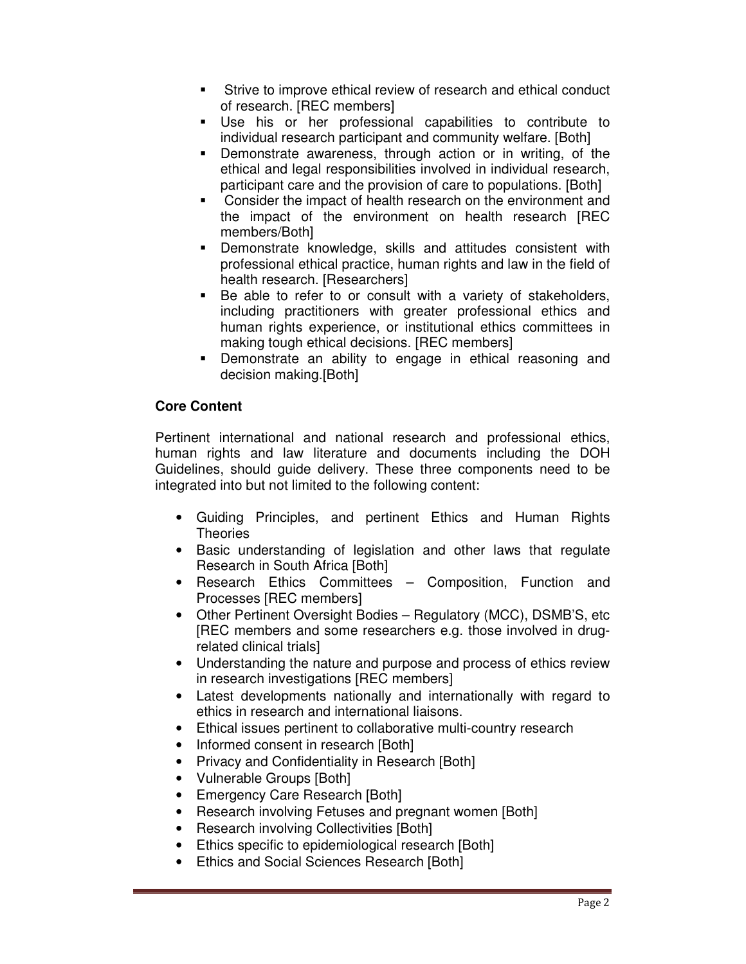- Strive to improve ethical review of research and ethical conduct of research. [REC members]
- Use his or her professional capabilities to contribute to individual research participant and community welfare. [Both]
- Demonstrate awareness, through action or in writing, of the ethical and legal responsibilities involved in individual research, participant care and the provision of care to populations. [Both]
- Consider the impact of health research on the environment and the impact of the environment on health research [REC members/Both]
- Demonstrate knowledge, skills and attitudes consistent with professional ethical practice, human rights and law in the field of health research. [Researchers]
- Be able to refer to or consult with a variety of stakeholders, including practitioners with greater professional ethics and human rights experience, or institutional ethics committees in making tough ethical decisions. [REC members]
- Demonstrate an ability to engage in ethical reasoning and decision making.[Both]

# **Core Content**

Pertinent international and national research and professional ethics, human rights and law literature and documents including the DOH Guidelines, should guide delivery. These three components need to be integrated into but not limited to the following content:

- Guiding Principles, and pertinent Ethics and Human Rights **Theories**
- Basic understanding of legislation and other laws that regulate Research in South Africa [Both]
- Research Ethics Committees Composition, Function and Processes [REC members]
- Other Pertinent Oversight Bodies Regulatory (MCC), DSMB'S, etc [REC members and some researchers e.g. those involved in drugrelated clinical trials]
- Understanding the nature and purpose and process of ethics review in research investigations [REC members]
- Latest developments nationally and internationally with regard to ethics in research and international liaisons.
- Ethical issues pertinent to collaborative multi-country research
- Informed consent in research [Both]
- Privacy and Confidentiality in Research [Both]
- Vulnerable Groups [Both]
- Emergency Care Research [Both]
- Research involving Fetuses and pregnant women [Both]
- Research involving Collectivities [Both]
- Ethics specific to epidemiological research [Both]
- Ethics and Social Sciences Research [Both]